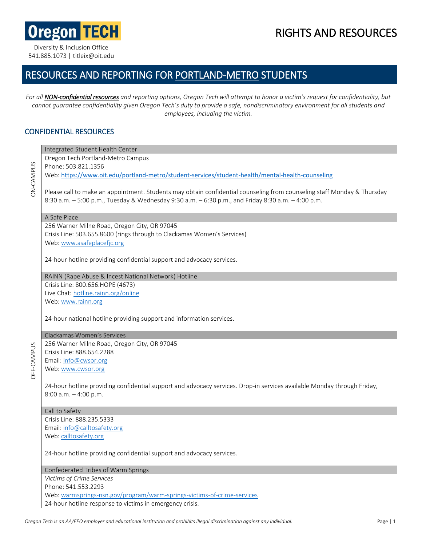**Oregon TECH** 

# RIGHTS AND RESOURCES

Diversity & Inclusion Office 541.885.1073 | titleix@oit.edu

## RESOURCES AND REPORTING FOR PORTLAND-METRO STUDENTS

*For all NON-confidential resources and reporting options, Oregon Tech will attempt to honor a victim's request for confidentiality, but cannot guarantee confidentiality given Oregon Tech's duty to provide a safe, nondiscriminatory environment for all students and employees, including the victim.*

#### CONFIDENTIAL RESOURCES

| <b>ON-CAMPUS</b>         | Integrated Student Health Center                                                                                                    |
|--------------------------|-------------------------------------------------------------------------------------------------------------------------------------|
|                          | Oregon Tech Portland-Metro Campus                                                                                                   |
|                          | Phone: 503.821.1356                                                                                                                 |
|                          | Web: https://www.oit.edu/portland-metro/student-services/student-health/mental-health-counseling                                    |
|                          | Please call to make an appointment. Students may obtain confidential counseling from counseling staff Monday & Thursday             |
|                          | 8:30 a.m. - 5:00 p.m., Tuesday & Wednesday 9:30 a.m. - 6:30 p.m., and Friday 8:30 a.m. - 4:00 p.m.                                  |
|                          | A Safe Place                                                                                                                        |
|                          | 256 Warner Milne Road, Oregon City, OR 97045                                                                                        |
|                          | Crisis Line: 503.655.8600 (rings through to Clackamas Women's Services)                                                             |
|                          | Web: www.asafeplacefjc.org                                                                                                          |
|                          | 24-hour hotline providing confidential support and advocacy services.                                                               |
|                          | RAINN (Rape Abuse & Incest National Network) Hotline                                                                                |
|                          | Crisis Line: 800.656.HOPE (4673)                                                                                                    |
|                          | Live Chat: hotline.rainn.org/online                                                                                                 |
|                          | Web: www.rainn.org                                                                                                                  |
|                          |                                                                                                                                     |
|                          | 24-hour national hotline providing support and information services.                                                                |
|                          |                                                                                                                                     |
|                          | Clackamas Women's Services                                                                                                          |
|                          | 256 Warner Milne Road, Oregon City, OR 97045                                                                                        |
|                          | Crisis Line: 888.654.2288                                                                                                           |
|                          | Email: info@cwsor.org                                                                                                               |
|                          | Web: www.cwsor.org                                                                                                                  |
| <b><i>OFF-CAMPUS</i></b> |                                                                                                                                     |
|                          | 24-hour hotline providing confidential support and advocacy services. Drop-in services available Monday through Friday,             |
|                          | $8:00$ a.m. $-4:00$ p.m.                                                                                                            |
|                          | Call to Safety                                                                                                                      |
|                          | Crisis Line: 888.235.5333                                                                                                           |
|                          | Email: info@calltosafety.org                                                                                                        |
|                          | Web: calltosafety.org                                                                                                               |
|                          |                                                                                                                                     |
|                          | 24-hour hotline providing confidential support and advocacy services.                                                               |
|                          | Confederated Tribes of Warm Springs                                                                                                 |
|                          | Victims of Crime Services                                                                                                           |
|                          | Phone: 541.553.2293                                                                                                                 |
|                          | Web: warmsprings-nsn.gov/program/warm-springs-victims-of-crime-services<br>24-hour hotline response to victims in emergency crisis. |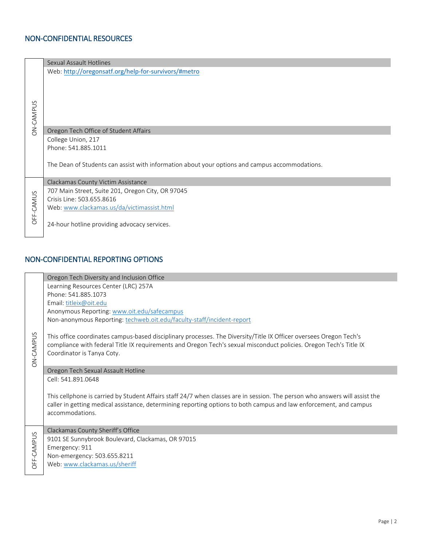### NON-CONFIDENTIAL RESOURCES

| <b>ON-CAMPUS</b> | Sexual Assault Hotlines                                                                        |
|------------------|------------------------------------------------------------------------------------------------|
|                  | Web: http://oregonsatf.org/help-for-survivors/#metro                                           |
|                  |                                                                                                |
|                  |                                                                                                |
|                  |                                                                                                |
|                  |                                                                                                |
|                  |                                                                                                |
|                  | Oregon Tech Office of Student Affairs                                                          |
|                  | College Union, 217                                                                             |
|                  | Phone: 541.885.1011                                                                            |
|                  |                                                                                                |
|                  | The Dean of Students can assist with information about your options and campus accommodations. |
|                  |                                                                                                |
| OFF-CAMUS        | Clackamas County Victim Assistance                                                             |
|                  | 707 Main Street, Suite 201, Oregon City, OR 97045                                              |
|                  | Crisis Line: 503.655.8616                                                                      |
|                  | Web: www.clackamas.us/da/victimassist.html                                                     |
|                  |                                                                                                |
|                  | 24-hour hotline providing advocacy services.                                                   |
|                  |                                                                                                |

## NON-CONFIDENTIAL REPORTING OPTIONS

|                  | Oregon Tech Diversity and Inclusion Office                                                                                                                                                                                                                             |
|------------------|------------------------------------------------------------------------------------------------------------------------------------------------------------------------------------------------------------------------------------------------------------------------|
|                  | Learning Resources Center (LRC) 257A                                                                                                                                                                                                                                   |
|                  | Phone: 541.885.1073                                                                                                                                                                                                                                                    |
|                  | Email: titleix@oit.edu                                                                                                                                                                                                                                                 |
|                  | Anonymous Reporting: www.oit.edu/safecampus                                                                                                                                                                                                                            |
|                  | Non-anonymous Reporting: techweb.oit.edu/faculty-staff/incident-report                                                                                                                                                                                                 |
| <b>ON-CAMPUS</b> | This office coordinates campus-based disciplinary processes. The Diversity/Title IX Officer oversees Oregon Tech's<br>compliance with federal Title IX requirements and Oregon Tech's sexual misconduct policies. Oregon Tech's Title IX<br>Coordinator is Tanya Coty. |
|                  | Oregon Tech Sexual Assault Hotline                                                                                                                                                                                                                                     |
|                  | Cell: 541.891.0648                                                                                                                                                                                                                                                     |
|                  | This cellphone is carried by Student Affairs staff 24/7 when classes are in session. The person who answers will assist the<br>caller in getting medical assistance, determining reporting options to both campus and law enforcement, and campus<br>accommodations.   |
|                  | Clackamas County Sheriff's Office                                                                                                                                                                                                                                      |
|                  | 9101 SE Sunnybrook Boulevard, Clackamas, OR 97015                                                                                                                                                                                                                      |
| OFF-CAMPUS       | Emergency: 911                                                                                                                                                                                                                                                         |
|                  | Non-emergency: 503.655.8211                                                                                                                                                                                                                                            |
|                  | Web: www.clackamas.us/sheriff                                                                                                                                                                                                                                          |
|                  |                                                                                                                                                                                                                                                                        |